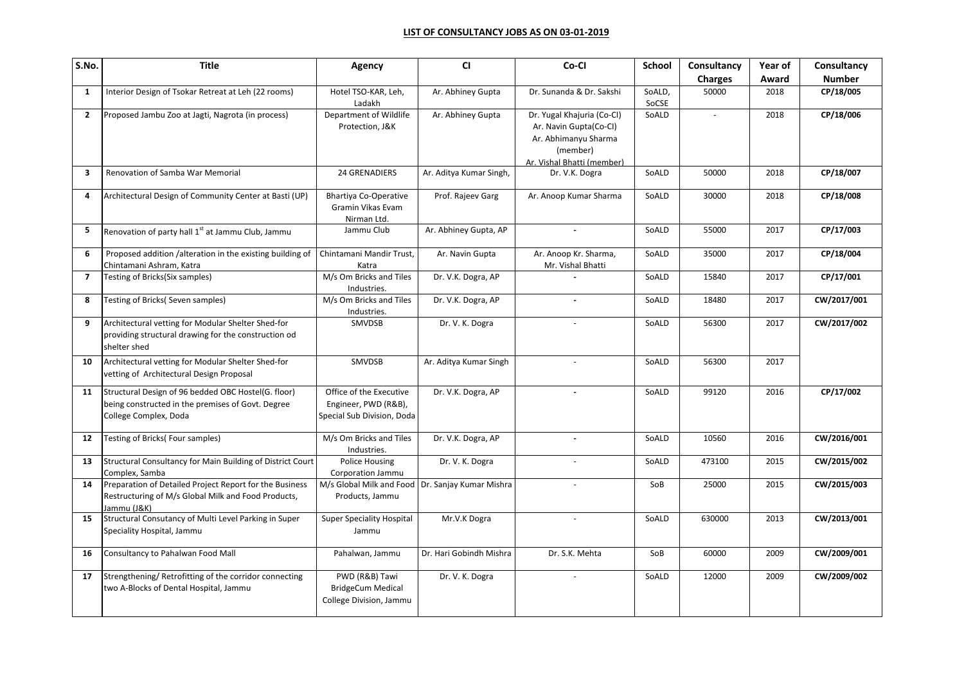## **LIST OF CONSULTANCY JOBS AS ON 03-01-2019**

| S.No.          | <b>Title</b>                                                                                                                      | Agency                                                                        | <b>CI</b>               | Co-Cl                                                                                                                  | <b>School</b>   | Consultancy    | Year of | Consultancy   |
|----------------|-----------------------------------------------------------------------------------------------------------------------------------|-------------------------------------------------------------------------------|-------------------------|------------------------------------------------------------------------------------------------------------------------|-----------------|----------------|---------|---------------|
|                |                                                                                                                                   |                                                                               |                         |                                                                                                                        |                 | <b>Charges</b> | Award   | <b>Number</b> |
| $\mathbf{1}$   | Interior Design of Tsokar Retreat at Leh (22 rooms)                                                                               | Hotel TSO-KAR, Leh,<br>Ladakh                                                 | Ar. Abhiney Gupta       | Dr. Sunanda & Dr. Sakshi                                                                                               | SoALD,<br>SoCSE | 50000          | 2018    | CP/18/005     |
| $\overline{2}$ | Proposed Jambu Zoo at Jagti, Nagrota (in process)                                                                                 | Department of Wildlife<br>Protection, J&K                                     | Ar. Abhiney Gupta       | Dr. Yugal Khajuria (Co-Cl)<br>Ar. Navin Gupta(Co-Cl)<br>Ar. Abhimanyu Sharma<br>(member)<br>Ar. Vishal Bhatti (member) | SoALD           | $\overline{a}$ | 2018    | CP/18/006     |
| 3              | Renovation of Samba War Memorial                                                                                                  | <b>24 GRENADIERS</b>                                                          | Ar. Aditya Kumar Singh, | Dr. V.K. Dogra                                                                                                         | SoALD           | 50000          | 2018    | CP/18/007     |
| 4              | Architectural Design of Community Center at Basti (UP)                                                                            | <b>Bhartiya Co-Operative</b><br>Gramin Vikas Evam<br>Nirman Ltd.              | Prof. Rajeev Garg       | Ar. Anoop Kumar Sharma                                                                                                 | SoALD           | 30000          | 2018    | CP/18/008     |
| 5              | Renovation of party hall 1 <sup>st</sup> at Jammu Club, Jammu                                                                     | Jammu Club                                                                    | Ar. Abhiney Gupta, AP   | $\sim$                                                                                                                 | SoALD           | 55000          | 2017    | CP/17/003     |
| 6              | Proposed addition /alteration in the existing building of<br>Chintamani Ashram, Katra                                             | Chintamani Mandir Trust,<br>Katra                                             | Ar. Navin Gupta         | Ar. Anoop Kr. Sharma,<br>Mr. Vishal Bhatti                                                                             | SoALD           | 35000          | 2017    | CP/18/004     |
| $\overline{7}$ | Testing of Bricks(Six samples)                                                                                                    | M/s Om Bricks and Tiles<br>Industries.                                        | Dr. V.K. Dogra, AP      |                                                                                                                        | SoALD           | 15840          | 2017    | CP/17/001     |
| 8              | Testing of Bricks(Seven samples)                                                                                                  | M/s Om Bricks and Tiles<br>Industries.                                        | Dr. V.K. Dogra, AP      |                                                                                                                        | SoALD           | 18480          | 2017    | CW/2017/001   |
| 9              | Architectural vetting for Modular Shelter Shed-for<br>providing structural drawing for the construction od<br>shelter shed        | <b>SMVDSB</b>                                                                 | Dr. V. K. Dogra         |                                                                                                                        | SoALD           | 56300          | 2017    | CW/2017/002   |
| 10             | Architectural vetting for Modular Shelter Shed-for<br>vetting of Architectural Design Proposal                                    | <b>SMVDSB</b>                                                                 | Ar. Aditya Kumar Singh  |                                                                                                                        | SoALD           | 56300          | 2017    |               |
| 11             | Structural Design of 96 bedded OBC Hostel(G. floor)<br>being constructed in the premises of Govt. Degree<br>College Complex, Doda | Office of the Executive<br>Engineer, PWD (R&B),<br>Special Sub Division, Doda | Dr. V.K. Dogra, AP      |                                                                                                                        | SoALD           | 99120          | 2016    | CP/17/002     |
| 12             | Testing of Bricks(Four samples)                                                                                                   | M/s Om Bricks and Tiles<br>Industries.                                        | Dr. V.K. Dogra, AP      | $\blacksquare$                                                                                                         | SoALD           | 10560          | 2016    | CW/2016/001   |
| 13             | Structural Consultancy for Main Building of District Court<br>Complex, Samba                                                      | Police Housing<br>Corporation Jammu                                           | Dr. V. K. Dogra         |                                                                                                                        | SoALD           | 473100         | 2015    | CW/2015/002   |
| 14             | Preparation of Detailed Project Report for the Business<br>Restructuring of M/s Global Milk and Food Products,<br>Jammu (J&K)     | M/s Global Milk and Food Dr. Sanjay Kumar Mishra<br>Products, Jammu           |                         |                                                                                                                        | SoB             | 25000          | 2015    | CW/2015/003   |
| 15             | Structural Consutancy of Multi Level Parking in Super<br>Speciality Hospital, Jammu                                               | <b>Super Speciality Hospital</b><br>Jammu                                     | Mr.V.K Dogra            |                                                                                                                        | SoALD           | 630000         | 2013    | CW/2013/001   |
| 16             | Consultancy to Pahalwan Food Mall                                                                                                 | Pahalwan, Jammu                                                               | Dr. Hari Gobindh Mishra | Dr. S.K. Mehta                                                                                                         | SoB             | 60000          | 2009    | CW/2009/001   |
| 17             | Strengthening/Retrofitting of the corridor connecting<br>two A-Blocks of Dental Hospital, Jammu                                   | PWD (R&B) Tawi<br><b>BridgeCum Medical</b><br>College Division, Jammu         | Dr. V. K. Dogra         |                                                                                                                        | SoALD           | 12000          | 2009    | CW/2009/002   |